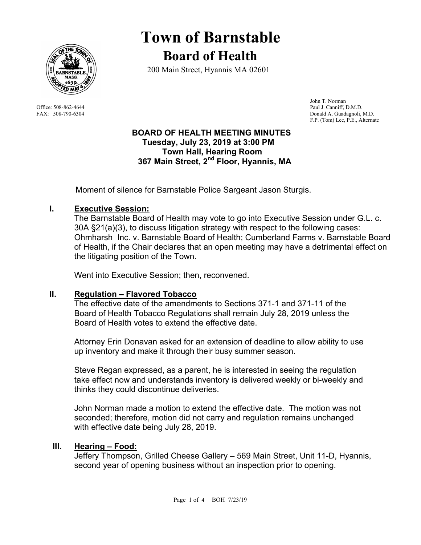

# **Town of Barnstable Board of Health**

200 Main Street, Hyannis MA 02601

 John T. Norman Office: 508-862-4644 Paul J. Canniff, D.M.D. FAX: 508-790-6304 Donald A. Guadagnoli, M.D. F.P. (Tom) Lee, P.E., Alternate

## **BOARD OF HEALTH MEETING MINUTES Tuesday, July 23, 2019 at 3:00 PM Town Hall, Hearing Room 367 Main Street, 2nd Floor, Hyannis, MA**

Moment of silence for Barnstable Police Sargeant Jason Sturgis.

# **I. Executive Session:**

The Barnstable Board of Health may vote to go into Executive Session under G.L. c. 30A §21(a)(3), to discuss litigation strategy with respect to the following cases: Ohmharsh Inc. v. Barnstable Board of Health; Cumberland Farms v. Barnstable Board of Health, if the Chair declares that an open meeting may have a detrimental effect on the litigating position of the Town.

Went into Executive Session; then, reconvened.

## **II. Regulation – Flavored Tobacco**

The effective date of the amendments to Sections 371-1 and 371-11 of the Board of Health Tobacco Regulations shall remain July 28, 2019 unless the Board of Health votes to extend the effective date.

Attorney Erin Donavan asked for an extension of deadline to allow ability to use up inventory and make it through their busy summer season.

Steve Regan expressed, as a parent, he is interested in seeing the regulation take effect now and understands inventory is delivered weekly or bi-weekly and thinks they could discontinue deliveries.

John Norman made a motion to extend the effective date. The motion was not seconded; therefore, motion did not carry and regulation remains unchanged with effective date being July 28, 2019.

## **III. Hearing – Food:**

Jeffery Thompson, Grilled Cheese Gallery – 569 Main Street, Unit 11-D, Hyannis, second year of opening business without an inspection prior to opening.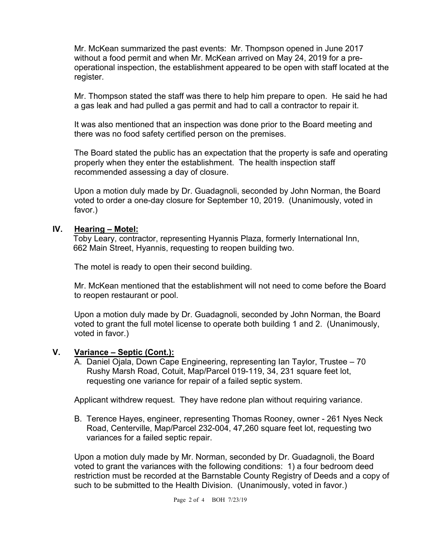Mr. McKean summarized the past events: Mr. Thompson opened in June 2017 without a food permit and when Mr. McKean arrived on May 24, 2019 for a preoperational inspection, the establishment appeared to be open with staff located at the register.

Mr. Thompson stated the staff was there to help him prepare to open. He said he had a gas leak and had pulled a gas permit and had to call a contractor to repair it.

It was also mentioned that an inspection was done prior to the Board meeting and there was no food safety certified person on the premises.

The Board stated the public has an expectation that the property is safe and operating properly when they enter the establishment. The health inspection staff recommended assessing a day of closure.

Upon a motion duly made by Dr. Guadagnoli, seconded by John Norman, the Board voted to order a one-day closure for September 10, 2019. (Unanimously, voted in favor.)

#### **IV. Hearing – Motel:**

Toby Leary, contractor, representing Hyannis Plaza, formerly International Inn, 662 Main Street, Hyannis, requesting to reopen building two.

The motel is ready to open their second building.

Mr. McKean mentioned that the establishment will not need to come before the Board to reopen restaurant or pool.

Upon a motion duly made by Dr. Guadagnoli, seconded by John Norman, the Board voted to grant the full motel license to operate both building 1 and 2. (Unanimously, voted in favor.)

## **V. Variance – Septic (Cont.):**

A. Daniel Ojala, Down Cape Engineering, representing Ian Taylor, Trustee – 70 Rushy Marsh Road, Cotuit, Map/Parcel 019-119, 34, 231 square feet lot, requesting one variance for repair of a failed septic system.

Applicant withdrew request. They have redone plan without requiring variance.

B. Terence Hayes, engineer, representing Thomas Rooney, owner - 261 Nyes Neck Road, Centerville, Map/Parcel 232-004, 47,260 square feet lot, requesting two variances for a failed septic repair.

Upon a motion duly made by Mr. Norman, seconded by Dr. Guadagnoli, the Board voted to grant the variances with the following conditions: 1) a four bedroom deed restriction must be recorded at the Barnstable County Registry of Deeds and a copy of such to be submitted to the Health Division. (Unanimously, voted in favor.)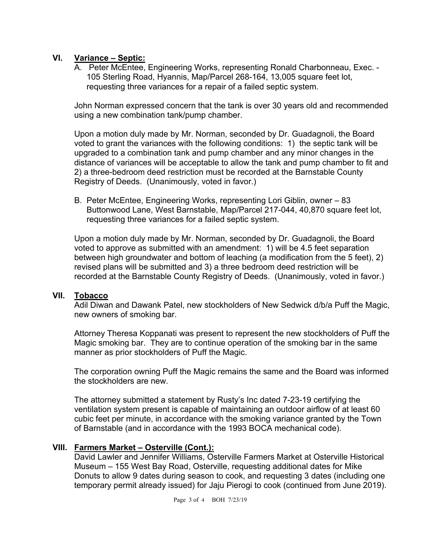# **VI. Variance – Septic:**

A. Peter McEntee, Engineering Works, representing Ronald Charbonneau, Exec. - 105 Sterling Road, Hyannis, Map/Parcel 268-164, 13,005 square feet lot, requesting three variances for a repair of a failed septic system.

John Norman expressed concern that the tank is over 30 years old and recommended using a new combination tank/pump chamber.

Upon a motion duly made by Mr. Norman, seconded by Dr. Guadagnoli, the Board voted to grant the variances with the following conditions: 1) the septic tank will be upgraded to a combination tank and pump chamber and any minor changes in the distance of variances will be acceptable to allow the tank and pump chamber to fit and 2) a three-bedroom deed restriction must be recorded at the Barnstable County Registry of Deeds. (Unanimously, voted in favor.)

B. Peter McEntee, Engineering Works, representing Lori Giblin, owner – 83 Buttonwood Lane, West Barnstable, Map/Parcel 217-044, 40,870 square feet lot, requesting three variances for a failed septic system.

Upon a motion duly made by Mr. Norman, seconded by Dr. Guadagnoli, the Board voted to approve as submitted with an amendment: 1) will be 4.5 feet separation between high groundwater and bottom of leaching (a modification from the 5 feet), 2) revised plans will be submitted and 3) a three bedroom deed restriction will be recorded at the Barnstable County Registry of Deeds. (Unanimously, voted in favor.)

## **VII. Tobacco**

Adil Diwan and Dawank Patel, new stockholders of New Sedwick d/b/a Puff the Magic, new owners of smoking bar.

Attorney Theresa Koppanati was present to represent the new stockholders of Puff the Magic smoking bar. They are to continue operation of the smoking bar in the same manner as prior stockholders of Puff the Magic.

The corporation owning Puff the Magic remains the same and the Board was informed the stockholders are new.

The attorney submitted a statement by Rusty's Inc dated 7-23-19 certifying the ventilation system present is capable of maintaining an outdoor airflow of at least 60 cubic feet per minute, in accordance with the smoking variance granted by the Town of Barnstable (and in accordance with the 1993 BOCA mechanical code).

## **VIII. Farmers Market – Osterville (Cont.):**

David Lawler and Jennifer Williams, Osterville Farmers Market at Osterville Historical Museum – 155 West Bay Road, Osterville, requesting additional dates for Mike Donuts to allow 9 dates during season to cook, and requesting 3 dates (including one temporary permit already issued) for Jaju Pierogi to cook (continued from June 2019).